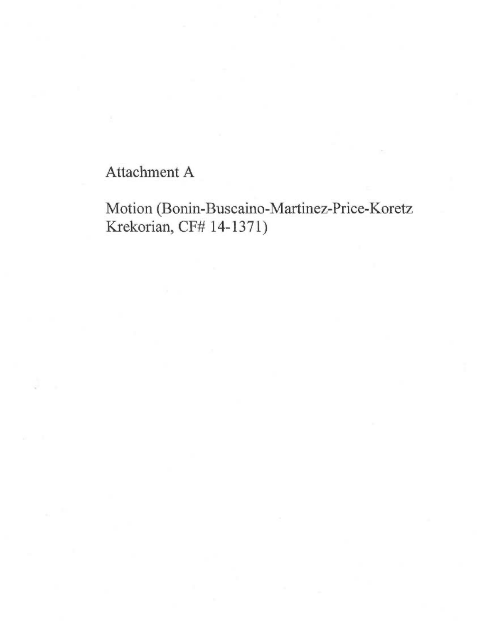## Attachment A

## Motion (Bonin-Buscaino-Martinez-Price-Koretz Krekorian, CF# 14-1371)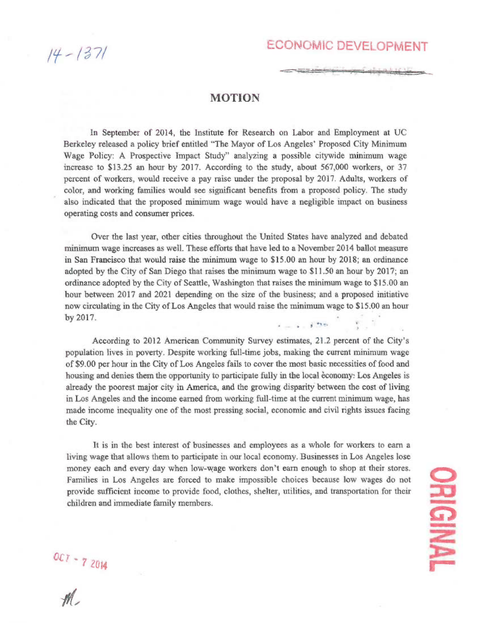/37/

## ECONOMIC DEVELOPMENT

<u>کا نام داده کولو</u>

## MOTION

In September of 2014, the Institute for Research on Labor and Employment at UC Berkeley released a policy brief entitled "The Mayor of Los Angeles' Proposed City Minimum Wage Policy: A Prospective Impact Study" analyzing a possible citywide minimum wage increase to \$13.25 an hour by 2017. According to the study, about 567,000 workers, or 37 percent of workers, would receive a pay raise under the proposal by 2017. Adults, workers of color, and working families would see significant benefits from a proposed policy. The study also indicated that the proposed minimum wage would have a negligible impact on business operating costs and consumer prices.

Over the last year, other cities throughout the United States have analyzed and debated minimum wage increases as well. These efforts that have led to a November 2014 ballot measure in San Francisco that would raise the minimum wage to \$15.00 an hour by 2018; an ordinance adopted by the City of San Diego that raises the minimum wage to \$11.50 an hour by 2017; an ordinance adopted by the City of Seattle, Washington that raises the minimum wage to \$15.00 an hour between 2017 and 2021 depending on the size of the business; and a proposed initiative now circulating in the City of Los Angeles that would raise the minimum wage to \$15.00 an hour by 2017. I -•

According to 2012 American Community Survey estimates, 21.2 percent of the City's population lives in poverty. Despite working full-time jobs, making the current minimum wage of \$9.00 per hour in the City of Los Angeles fails to cover the most basic necessities of food and housing and denies them the opportunity to participate fully in the local economy: Los Angeles is already the poorest major city in America, and the growing disparity between the cost of living in Los Angeles and the income earned from working full-time at the current minimum wage, has made income inequality one of the most pressing social, economic and civil rights issues facing the City.

It is in the best interest of businesses and employees as a whole for workers to earn a living wage that allows them to participate in our local economy. Businesses in Los Angeles lose money each and every day when low-wage workers don't earn enough to shop at their stores. Families in Los Angeles are forced to make impossible choices because low wages do not provide sufficient income to provide food, clothes, shelter, utilities, and transportation for their children and immediate family members.

 $U_{\mathcal{C}}$ 2014